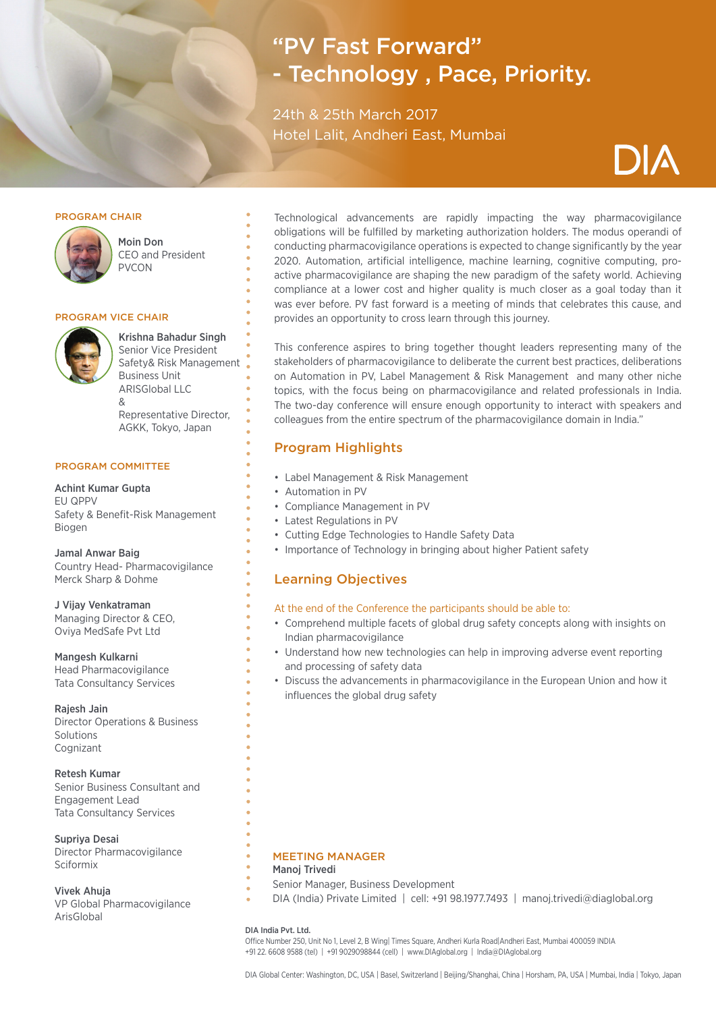# "PV Fast Forward" - Technology , Pace, Priority.

24th & 25th March 2017 Hotel Lalit, Andheri East, Mumbai

#### PROGRAM CHAIR



Moin Don CEO and President PVCON

#### PROGRAM VICE CHAIR



Krishna Bahadur Singh Senior Vice President Safety& Risk Management Business Unit ARISGlobal LLC & Representative Director, AGKK, Tokyo, Japan

#### PROGRAM COMMITTEE

Achint Kumar Gupta EU QPPV Safety & Benefit-Risk Management Biogen

Jamal Anwar Baig Country Head- Pharmacovigilance Merck Sharp & Dohme

J Vijay Venkatraman Managing Director & CEO, Oviya MedSafe Pvt Ltd

Mangesh Kulkarni Head Pharmacovigilance Tata Consultancy Services

Rajesh Jain Director Operations & Business Solutions Cognizant

Retesh Kumar Senior Business Consultant and Engagement Lead Tata Consultancy Services

Supriya Desai Director Pharmacovigilance Sciformix

Vivek Ahuja VP Global Pharmacovigilance ArisGlobal

Technological advancements are rapidly impacting the way pharmacovigilance obligations will be fulfilled by marketing authorization holders. The modus operandi of conducting pharmacovigilance operations is expected to change significantly by the year 2020. Automation, artificial intelligence, machine learning, cognitive computing, proactive pharmacovigilance are shaping the new paradigm of the safety world. Achieving compliance at a lower cost and higher quality is much closer as a goal today than it was ever before. PV fast forward is a meeting of minds that celebrates this cause, and provides an opportunity to cross learn through this journey.

This conference aspires to bring together thought leaders representing many of the stakeholders of pharmacovigilance to deliberate the current best practices, deliberations on Automation in PV, Label Management & Risk Management and many other niche topics, with the focus being on pharmacovigilance and related professionals in India. The two-day conference will ensure enough opportunity to interact with speakers and colleagues from the entire spectrum of the pharmacovigilance domain in India."

#### Program Highlights

- Label Management & Risk Management
- Automation in PV
- Compliance Management in PV
- Latest Regulations in PV
- Cutting Edge Technologies to Handle Safety Data
- Importance of Technology in bringing about higher Patient safety

#### Learning Objectives

#### At the end of the Conference the participants should be able to:

- Comprehend multiple facets of global drug safety concepts along with insights on Indian pharmacovigilance
- Understand how new technologies can help in improving adverse event reporting and processing of safety data
- Discuss the advancements in pharmacovigilance in the European Union and how it influences the global drug safety

#### MEETING MANAGER

#### Manoj Trivedi

- Senior Manager, Business Development
- DIA (India) Private Limited | cell: +91 98.1977.7493 | manoj.trivedi@diaglobal.org

#### DIA India Pvt. Ltd.

Office Number 250, Unit No 1, Level 2, B Wing| Times Square, Andheri Kurla Road|Andheri East, Mumbai 400059 INDIA +91 22. 6608 9588 (tel) | +91 9029098844 (cell) | www.DIAglobal.org | India@DIAglobal.org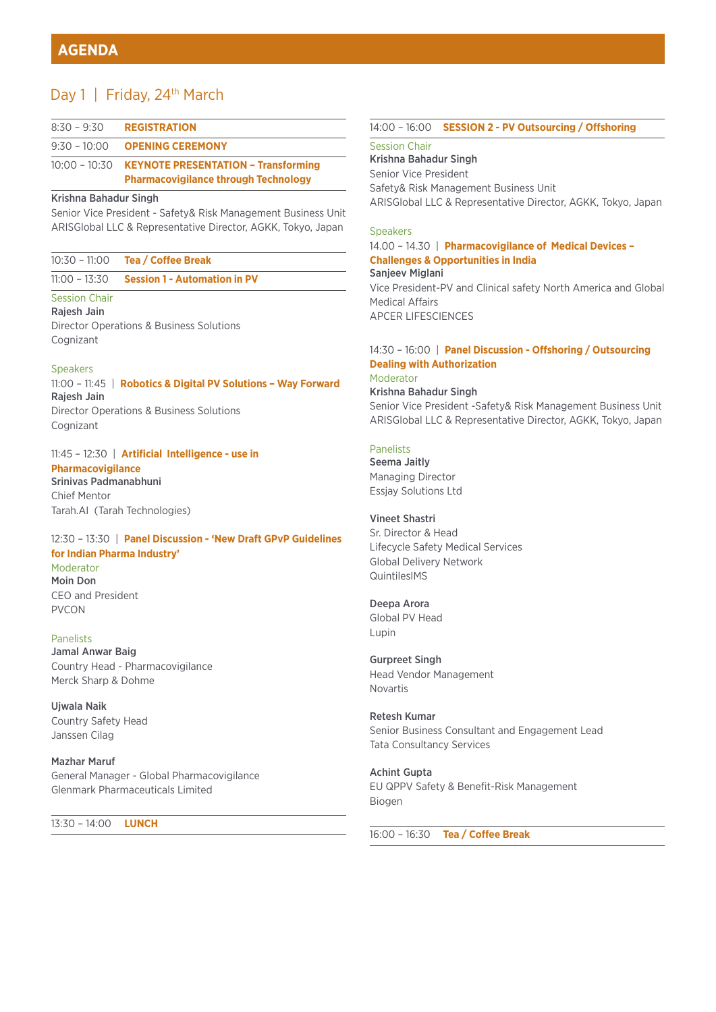# Day 1 | Friday, 24<sup>th</sup> March

| $8:30 - 9:30$  | <b>REGISTRATION</b>                                                                                     |
|----------------|---------------------------------------------------------------------------------------------------------|
| $9:30 - 10:00$ | <b>OPENING CEREMONY</b>                                                                                 |
|                | 10:00 - 10:30 <b>KEYNOTE PRESENTATION - Transforming</b><br><b>Pharmacovigilance through Technology</b> |

#### Krishna Bahadur Singh

Senior Vice President - Safety& Risk Management Business Unit ARISGlobal LLC & Representative Director, AGKK, Tokyo, Japan

| 10:30 - 11:00 |  | <b>Tea / Coffee Break</b> |  |
|---------------|--|---------------------------|--|
|               |  |                           |  |

11:00 – 13:30 **Session 1 - Automation in PV**

#### Session Chair

Rajesh Jain Director Operations & Business Solutions Cognizant

#### Speakers

11:00 – 11:45 | **Robotics & Digital PV Solutions – Way Forward**  Rajesh Jain Director Operations & Business Solutions Cognizant

11:45 – 12:30 | **Artificial Intelligence - use in Pharmacovigilance** Srinivas Padmanabhuni Chief Mentor Tarah.AI (Tarah Technologies)

#### 12:30 – 13:30 | **Panel Discussion - 'New Draft GPvP Guidelines for Indian Pharma Industry'**  Moderator

Moin Don CEO and President PVCON

#### Panelists

Jamal Anwar Baig Country Head - Pharmacovigilance Merck Sharp & Dohme

Ujwala Naik Country Safety Head Janssen Cilag

Mazhar Maruf General Manager - Global Pharmacovigilance Glenmark Pharmaceuticals Limited

13:30 – 14:00 **LUNCH** 

#### 14:00 – 16:00 **SESSION 2 - PV Outsourcing / Offshoring**

#### Session Chair

Krishna Bahadur Singh Senior Vice President Safety& Risk Management Business Unit ARISGlobal LLC & Representative Director, AGKK, Tokyo, Japan

#### **Speakers**

14.00 – 14.30 | **Pharmacovigilance of Medical Devices – Challenges & Opportunities in India**  Sanjeev Miglani Vice President-PV and Clinical safety North America and Global Medical Affairs APCER LIFESCIENCES

#### 14:30 – 16:00 | **Panel Discussion - Offshoring / Outsourcing Dealing with Authorization** Moderator

Krishna Bahadur Singh Senior Vice President -Safety& Risk Management Business Unit ARISGlobal LLC & Representative Director, AGKK, Tokyo, Japan

#### Panelists

Seema Jaitly Managing Director Essjay Solutions Ltd

#### Vineet Shastri

Sr. Director & Head Lifecycle Safety Medical Services Global Delivery Network QuintilesIMS

#### Deepa Arora

Global PV Head Lupin

Gurpreet Singh Head Vendor Management Novartis

Retesh Kumar Senior Business Consultant and Engagement Lead Tata Consultancy Services

Achint Gupta EU QPPV Safety & Benefit-Risk Management Biogen

16:00 – 16:30 **Tea / Coffee Break**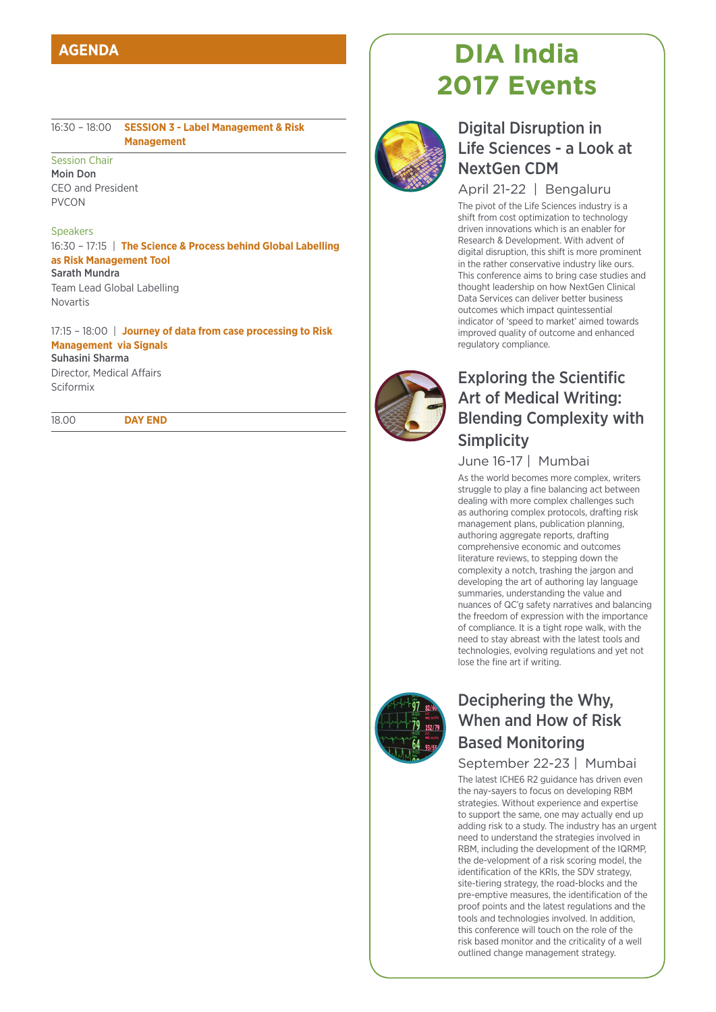# **AGENDA**

16:30 – 18:00 **SESSION 3 - Label Management & Risk Management**

Session Chair Moin Don CEO and President PVCON

#### Speakers

16:30 – 17:15 | **The Science & Process behind Global Labelling as Risk Management Tool** Sarath Mundra Team Lead Global Labelling

Novartis

17:15 – 18:00 | **Journey of data from case processing to Risk Management via Signals** 

Suhasini Sharma Director, Medical Affairs Sciformix

18.00 **DAY END**

# **DIA India 2017 Events**



# Digital Disruption in Life Sciences - a Look at NextGen CDM

#### April 21-22 | Bengaluru

The pivot of the Life Sciences industry is a shift from cost optimization to technology driven innovations which is an enabler for Research & Development. With advent of digital disruption, this shift is more prominent in the rather conservative industry like ours. This conference aims to bring case studies and thought leadership on how NextGen Clinical Data Services can deliver better business outcomes which impact quintessential indicator of 'speed to market' aimed towards improved quality of outcome and enhanced regulatory compliance.



# Exploring the Scientific Art of Medical Writing: Blending Complexity with **Simplicity**

#### June 16-17 | Mumbai

As the world becomes more complex, writers struggle to play a fine balancing act between dealing with more complex challenges such as authoring complex protocols, drafting risk management plans, publication planning, authoring aggregate reports, drafting comprehensive economic and outcomes literature reviews, to stepping down the complexity a notch, trashing the jargon and developing the art of authoring lay language summaries, understanding the value and nuances of QC'g safety narratives and balancing the freedom of expression with the importance of compliance. It is a tight rope walk, with the need to stay abreast with the latest tools and technologies, evolving regulations and yet not lose the fine art if writing.



# Deciphering the Why, When and How of Risk Based Monitoring

#### September 22-23 | Mumbai

The latest ICHE6 R2 guidance has driven even the nay-sayers to focus on developing RBM strategies. Without experience and expertise to support the same, one may actually end up adding risk to a study. The industry has an urgent need to understand the strategies involved in RBM, including the development of the IQRMP, the de-velopment of a risk scoring model, the identification of the KRIs, the SDV strategy, site-tiering strategy, the road-blocks and the pre-emptive measures, the identification of the proof points and the latest regulations and the tools and technologies involved. In addition, this conference will touch on the role of the risk based monitor and the criticality of a well outlined change management strategy.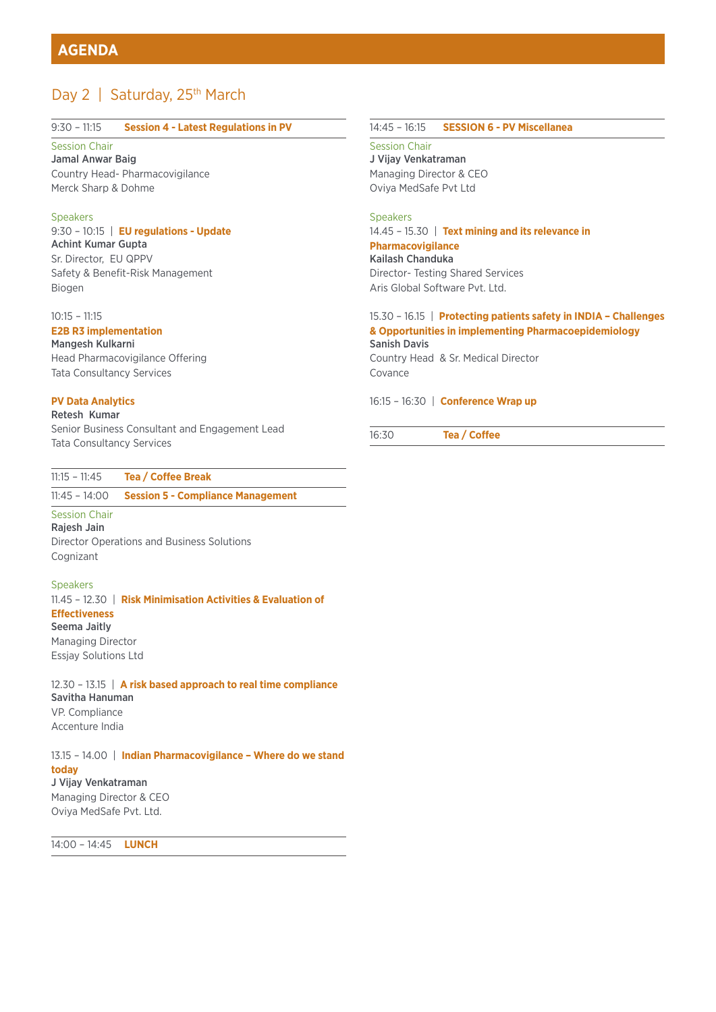# Day 2 | Saturday, 25<sup>th</sup> March

#### 9:30 – 11:15 **Session 4 - Latest Regulations in PV**

#### Session Chair

Jamal Anwar Baig Country Head- Pharmacovigilance Merck Sharp & Dohme

#### Speakers

#### 9:30 – 10:15 | **EU regulations - Update** Achint Kumar Gupta Sr. Director, EU QPPV Safety & Benefit-Risk Management Biogen

#### 10:15 – 11:15

#### **E2B R3 implementation**

Mangesh Kulkarni Head Pharmacovigilance Offering Tata Consultancy Services

#### **PV Data Analytics**

### Retesh Kumar

Senior Business Consultant and Engagement Lead Tata Consultancy Services

#### 11:15 – 11:45 **Tea / Coffee Break**

#### 11:45 – 14:00 **Session 5 - Compliance Management**

#### Session Chair

Rajesh Jain Director Operations and Business Solutions Cognizant

#### Speakers

11.45 – 12.30 | **Risk Minimisation Activities & Evaluation of Effectiveness**  Seema Jaitly Managing Director Essjay Solutions Ltd

12.30 – 13.15 | **A risk based approach to real time compliance** Savitha Hanuman VP. Compliance Accenture India

#### 13.15 – 14.00 | **Indian Pharmacovigilance – Where do we stand today** J Vijay Venkatraman

Managing Director & CEO Oviya MedSafe Pvt. Ltd.

14:00 – 14:45 **LUNCH**

#### 14:45 – 16:15 **SESSION 6 - PV Miscellanea**

Session Chair J Vijay Venkatraman Managing Director & CEO Oviya MedSafe Pvt Ltd

#### Speakers

#### 14.45 – 15.30 | **Text mining and its relevance in Pharmacovigilance**

Kailash Chanduka Director- Testing Shared Services Aris Global Software Pvt. Ltd.

#### 15.30 – 16.15 | **Protecting patients safety in INDIA – Challenges & Opportunities in implementing Pharmacoepidemiology**  Sanish Davis

Country Head & Sr. Medical Director Covance

16:15 – 16:30 | **Conference Wrap up**

16:30 **Tea / Coffee**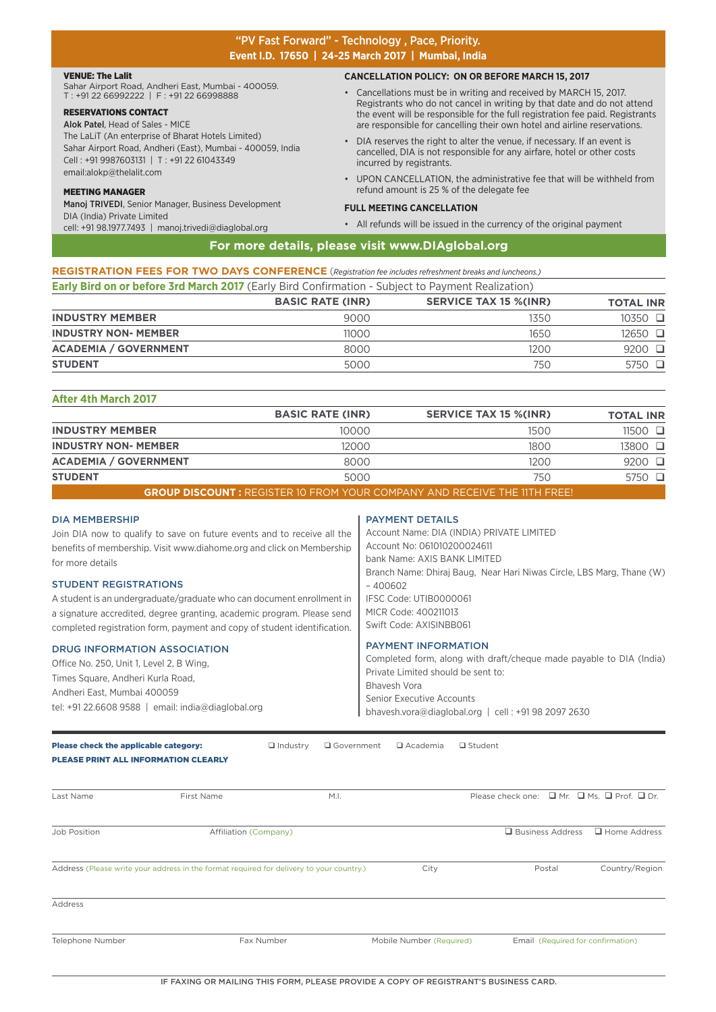#### "PV Fast Forward" - Technology , Pace, Priority. **Event I.D. 17650 | 24-25 March 2017 | Mumbai, India**

#### VENUE: The Lalit

Sahar Airport Road, Andheri East, Mumbai - 400059. T : +91 22 66992222 | F : +91 22 66998888

#### RESERVATIONS CONTACT

Alok Patel, Head of Sales - MICE The LaLiT (An enterprise of Bharat Hotels Limited) Sahar Airport Road, Andheri (East), Mumbai - 400059, India Cell : +91 9987603131 | T : +91 22 61043349 email:alokp@thelalit.com

#### MEETING MANAGER

Manoj TRIVEDI, Senior Manager, Business Development DIA (India) Private Limited cell: +91 98.1977.7493 | manoj.trivedi@diaglobal.org

#### **CANCELLATION POLICY: ON OR BEFORE MARCH 15, 2017**

- Cancellations must be in writing and received by MARCH 15, 2017. Registrants who do not cancel in writing by that date and do not attend the event will be responsible for the full registration fee paid. Registrants are responsible for cancelling their own hotel and airline reservations.
- DIA reserves the right to alter the venue, if necessary. If an event is cancelled, DIA is not responsible for any airfare, hotel or other costs incurred by registrants.
- UPON CANCELLATION, the administrative fee that will be withheld from refund amount is 25 % of the delegate fee

#### **FULL MEETING CANCELLATION**

• All refunds will be issued in the currency of the original payment

#### **For more details, please visit www.DIAglobal.org**

**REGISTRATION FEES FOR TWO DAYS CONFERENCE** (*Registration fee includes refreshment breaks and luncheons.)* **Early Bird on or before 3rd March 2017** (Early Bird Confirmation - Subject to Payment Realization)

|                              | <b>BASIC RATE (INR)</b> | <b>SERVICE TAX 15 %(INR)</b> | <b>TOTAL INR</b> |
|------------------------------|-------------------------|------------------------------|------------------|
| <b>INDUSTRY MEMBER</b>       | 9000                    | 1350                         | $10350$ $\Box$   |
| <b>INDUSTRY NON- MEMBER</b>  | 11000                   | 1650                         | 12650 □          |
| <b>ACADEMIA / GOVERNMENT</b> | 8000                    | $1200 -$                     | $9200$ $\Box$    |
| <b>STUDENT</b>               | 5000                    | 750                          | $5750$ $\Box$    |

| After 4th March 2017         |                         |                              |                  |  |  |
|------------------------------|-------------------------|------------------------------|------------------|--|--|
|                              | <b>BASIC RATE (INR)</b> | <b>SERVICE TAX 15 %(INR)</b> | <b>TOTAL INR</b> |  |  |
| <b>INDUSTRY MEMBER</b>       | 10000                   | 1500                         | $11500$ $\Box$   |  |  |
| <b>INDUSTRY NON- MEMBER</b>  | 12000                   | 1800                         | 13800 □          |  |  |
| <b>ACADEMIA / GOVERNMENT</b> | 8000                    | 1200                         | $9200$ $\square$ |  |  |
| <b>STUDENT</b>               | 5000                    | 750                          | 5750 □           |  |  |
|                              |                         |                              |                  |  |  |

**GROUP DISCOUNT :** REGISTER 10 FROM YOUR COMPANY AND RECEIVE THE 11TH FREE!

#### DIA MEMBERSHIP

Join DIA now to qualify to save on future events and to receive all the benefits of membership. Visit www.diahome.org and click on Membership for more details

#### STUDENT REGISTRATIONS

A student is an undergraduate/graduate who can document enrollment in a signature accredited, degree granting, academic program. Please send completed registration form, payment and copy of student identification.

#### DRUG INFORMATION ASSOCIATION

Office No. 250, Unit 1, Level 2, B Wing, Times Square, Andheri Kurla Road, Andheri East, Mumbai 400059 tel: +91 22.6608 9588 | email: india@diaglobal.org

#### PAYMENT DETAILS

Account Name: DIA (INDIA) PRIVATE LIMITED Account No: 061010200024611 bank Name: AXIS BANK LIMITED Branch Name: Dhiraj Baug, Near Hari Niwas Circle, LBS Marg, Thane (W)  $-400602$ IFSC Code: UTIB0000061 MICR Code: 400211013 Swift Code: AXISINBB061

#### PAYMENT INFORMATION

Completed form, along with draft/cheque made payable to DIA (India) Private Limited should be sent to: Bhavesh Vora Senior Executive Accounts bhavesh.vora@diaglobal.org | cell : +91 98 2097 2630

Please check the applicable category: **a** Industry **Q** Government **Q** Academia **Q** Student

PLEASE PRINT ALL INFORMATION CLEARLY

| Last Name        | First Name                                                                               | M.I. |                          | Please check one: $\Box$ Mr. $\Box$ Ms. $\Box$ Prof. $\Box$ Dr. |                                   |
|------------------|------------------------------------------------------------------------------------------|------|--------------------------|-----------------------------------------------------------------|-----------------------------------|
| Job Position     | <b>Affiliation (Company)</b>                                                             |      |                          | □ Business Address                                              | $\Box$ Home Address               |
|                  | Address (Please write your address in the format required for delivery to your country.) |      | City                     | Postal                                                          | Country/Region                    |
| Address          |                                                                                          |      |                          |                                                                 |                                   |
| Telephone Number | Fax Number                                                                               |      | Mobile Number (Required) |                                                                 | Email (Required for confirmation) |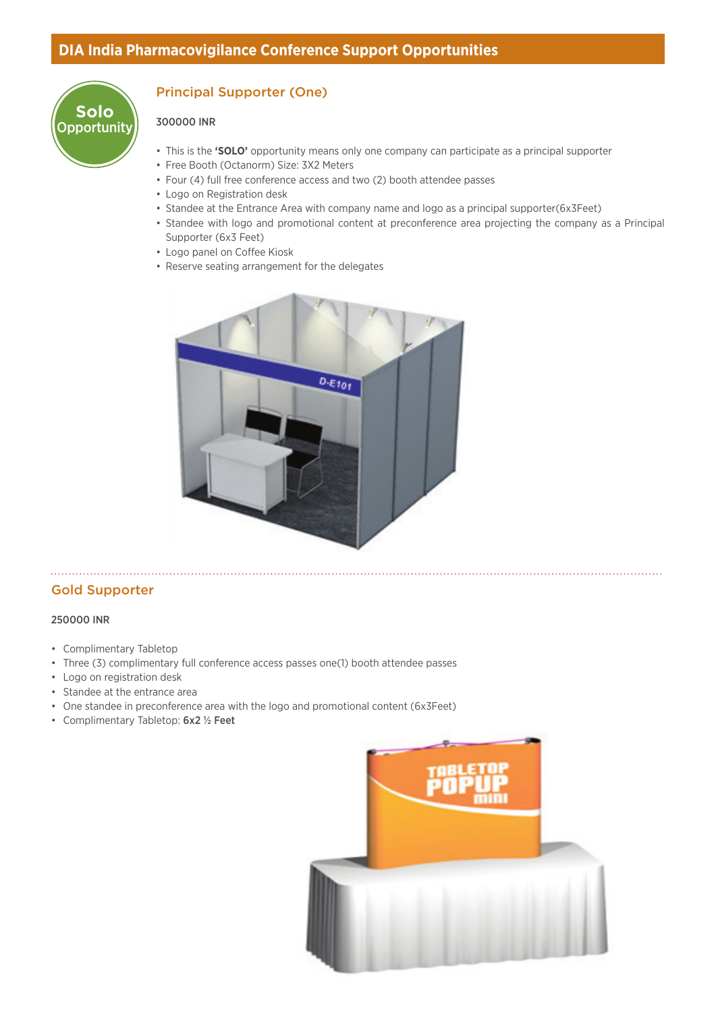

# Principal Supporter (One)

#### 300000 INR

- This is the **'SOLO'** opportunity means only one company can participate as a principal supporter
- Free Booth (Octanorm) Size: 3X2 Meters
- Four (4) full free conference access and two (2) booth attendee passes
- Logo on Registration desk
- Standee at the Entrance Area with company name and logo as a principal supporter(6x3Feet)
- Standee with logo and promotional content at preconference area projecting the company as a Principal Supporter (6x3 Feet)
- Logo panel on Coffee Kiosk
- Reserve seating arrangement for the delegates



#### Gold Supporter

#### 250000 INR

- Complimentary Tabletop
- Three (3) complimentary full conference access passes one(1) booth attendee passes
- Logo on registration desk
- Standee at the entrance area
- One standee in preconference area with the logo and promotional content (6x3Feet)
- Complimentary Tabletop: 6x2 ½ Feet